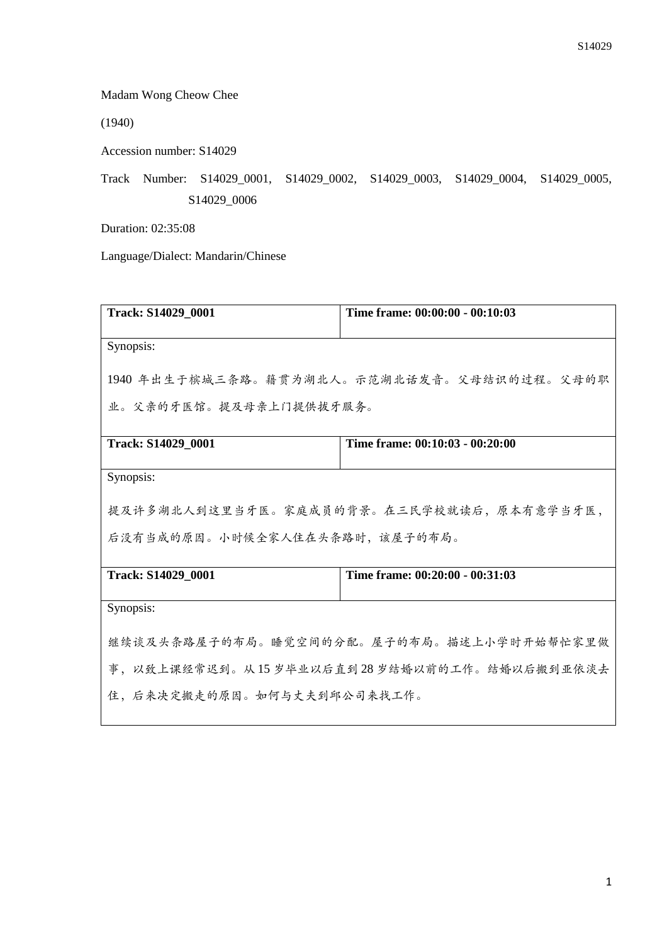Madam Wong Cheow Chee

(1940)

Accession number: S14029

Track Number: S14029\_0001, S14029\_0002, S14029\_0003, S14029\_0004, S14029\_0005, S14029\_0006

Duration: 02:35:08

Language/Dialect: Mandarin/Chinese

| Track: S14029_0001                          | Time frame: 00:00:00 - 00:10:03          |  |
|---------------------------------------------|------------------------------------------|--|
| Synopsis:                                   |                                          |  |
| 1940年出生于槟城三条路。籍贯为湖北人。示范湖北话发音。父母结识的过程。父母的职   |                                          |  |
| 业。父亲的牙医馆。提及母亲上门提供拔牙服务。                      |                                          |  |
| Track: S14029_0001                          | Time frame: 00:10:03 - 00:20:00          |  |
| Synopsis:                                   |                                          |  |
|                                             | 提及许多湖北人到这里当牙医。家庭成员的背景。在三民学校就读后,原本有意学当牙医, |  |
| 后没有当成的原因。小时候全家人住在头条路时,该屋子的布局。               |                                          |  |
| Track: S14029 0001                          | Time frame: 00:20:00 - 00:31:03          |  |
| Synopsis:                                   |                                          |  |
| 继续谈及头条路屋子的布局。睡觉空间的分配。屋子的布局。描述上小学时开始帮忙家里做    |                                          |  |
| 事, 以致上课经常迟到。从15岁毕业以后直到28岁结婚以前的工作。结婚以后搬到亚依淡去 |                                          |  |
| 住,后来决定搬走的原因。如何与丈夫到邱公司来找工作。                  |                                          |  |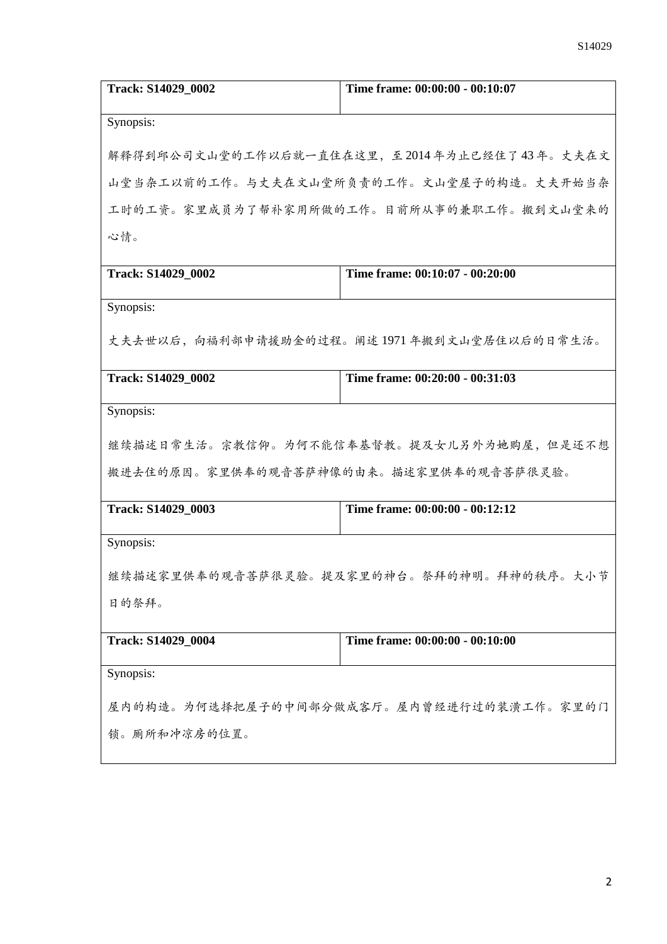| Track: S14029_0002                       | Time frame: 00:00:00 - 00:10:07             |
|------------------------------------------|---------------------------------------------|
| Synopsis:                                |                                             |
|                                          | 解释得到邱公司文山堂的工作以后就一直住在这里,至2014年为止已经住了43年。丈夫在文 |
|                                          |                                             |
|                                          | 山堂当杂工以前的工作。与丈夫在文山堂所负责的工作。文山堂屋子的构造。丈夫开始当杂    |
|                                          | 工时的工资。家里成员为了帮补家用所做的工作。目前所从事的兼职工作。搬到文山堂来的    |
| 心情。                                      |                                             |
| Track: S14029_0002                       | Time frame: 00:10:07 - 00:20:00             |
| Synopsis:                                |                                             |
|                                          |                                             |
|                                          | 丈夫去世以后,向福利部申请援助金的过程。阐述1971年搬到文山堂居住以后的日常生活。  |
| Track: S14029 0002                       | Time frame: 00:20:00 - 00:31:03             |
| Synopsis:                                |                                             |
|                                          | 继续描述日常生活。宗教信仰。为何不能信奉基督教。提及女儿另外为她购屋,但是还不想    |
| 搬进去住的原因。家里供奉的观音菩萨神像的由来。描述家里供奉的观音菩萨很灵验。   |                                             |
| Track: S14029_0003                       | Time frame: 00:00:00 - 00:12:12             |
| Synopsis:                                |                                             |
|                                          |                                             |
| 继续描述家里供奉的观音菩萨很灵验。提及家里的神台。祭拜的神明。拜神的秩序。大小节 |                                             |
| 日的祭拜。                                    |                                             |
| Track: S14029_0004                       | Time frame: 00:00:00 - 00:10:00             |
| Synopsis:                                |                                             |
| 屋内的构造。为何选择把屋子的中间部分做成客厅。屋内曾经进行过的装潢工作。家里的门 |                                             |
|                                          |                                             |
| 锁。厕所和冲凉房的位置。                             |                                             |
|                                          |                                             |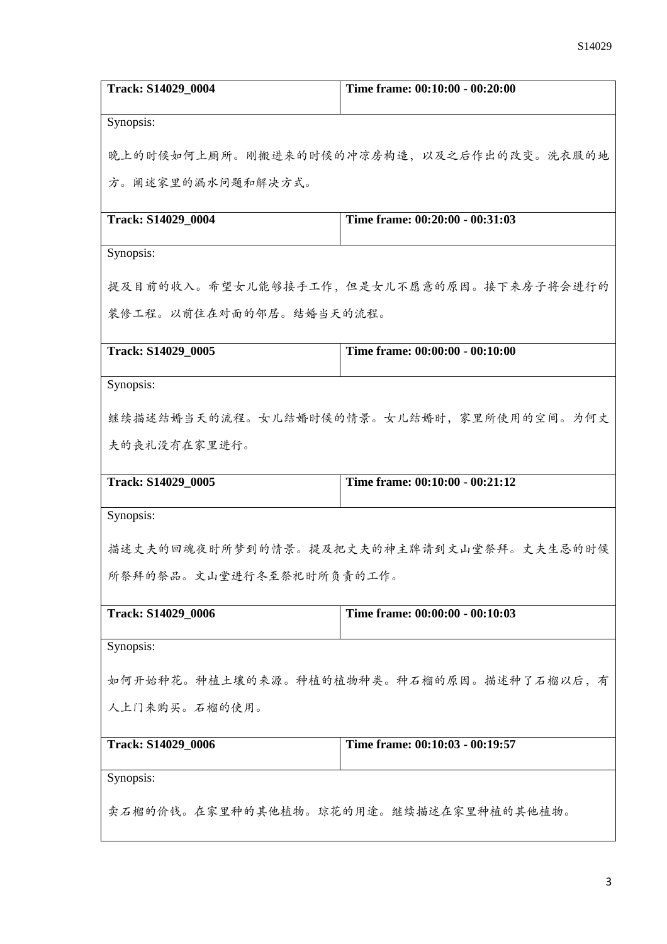| Track: S14029_0004                       | Time frame: 00:10:00 - 00:20:00          |  |
|------------------------------------------|------------------------------------------|--|
| Synopsis:                                |                                          |  |
|                                          | 晚上的时候如何上厕所。刚搬进来的时候的冲凉房构造,以及之后作出的改变。洗衣服的地 |  |
| 方。阐述家里的漏水问题和解决方式。                        |                                          |  |
| Track: S14029_0004                       | Time frame: 00:20:00 - 00:31:03          |  |
| Synopsis:                                |                                          |  |
|                                          | 提及目前的收入。希望女儿能够接手工作,但是女儿不愿意的原因。接下来房子将会进行的 |  |
| 装修工程。以前住在对面的邻居。结婚当天的流程。                  |                                          |  |
| Track: S14029_0005                       | Time frame: 00:00:00 - 00:10:00          |  |
| Synopsis:                                |                                          |  |
|                                          | 继续描述结婚当天的流程。女儿结婚时候的情景。女儿结婚时,家里所使用的空间。为何丈 |  |
| 夫的丧礼没有在家里进行。                             |                                          |  |
| Track: S14029_0005                       | Time frame: 00:10:00 - 00:21:12          |  |
| Synopsis:                                |                                          |  |
|                                          | 描述丈夫的回魂夜时所梦到的情景。提及把丈夫的神主牌请到文山堂祭拜。丈夫生忌的时候 |  |
| 所祭拜的祭品。文山堂进行冬至祭祀时所负责的工作。                 |                                          |  |
| Track: S14029_0006                       | Time frame: 00:00:00 - 00:10:03          |  |
| Synopsis:                                |                                          |  |
| 如何开始种花。种植土壤的来源。种植的植物种类。种石榴的原因。描述种了石榴以后,有 |                                          |  |
| 人上门来购买。石榴的使用。                            |                                          |  |
| Track: S14029_0006                       | Time frame: 00:10:03 - 00:19:57          |  |
| Synopsis:                                |                                          |  |
| 卖石榴的价钱。在家里种的其他植物。琼花的用途。继续描述在家里种植的其他植物。   |                                          |  |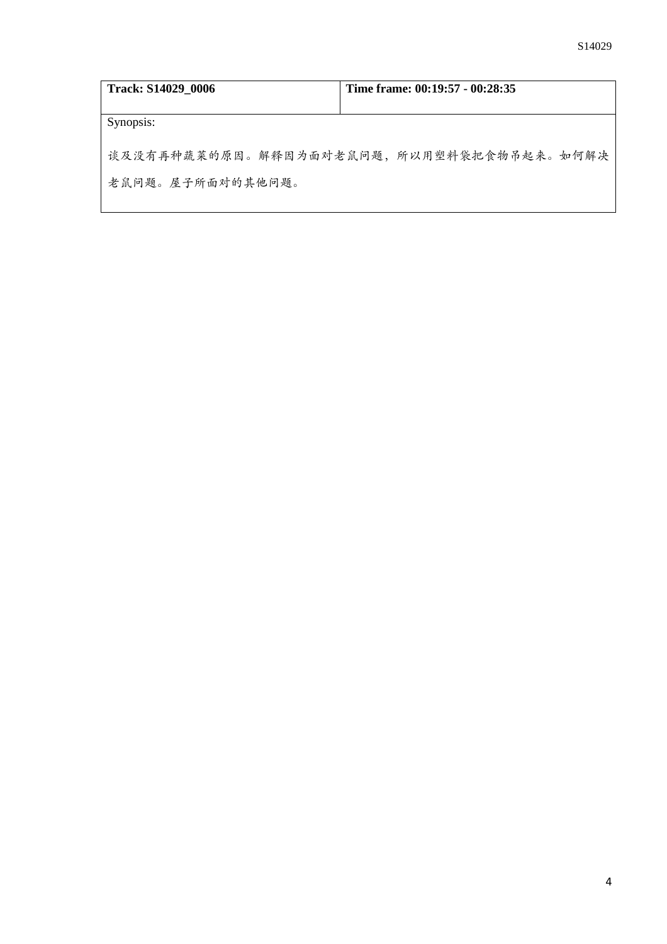| Track: S14029 0006 | Time frame: 00:19:57 - 00:28:35          |
|--------------------|------------------------------------------|
| Synopsis:          |                                          |
|                    | 谈及没有再种蔬菜的原因。解释因为面对老鼠问题,所以用塑料袋把食物吊起来。如何解决 |
| 老鼠问题。屋子所面对的其他问题。   |                                          |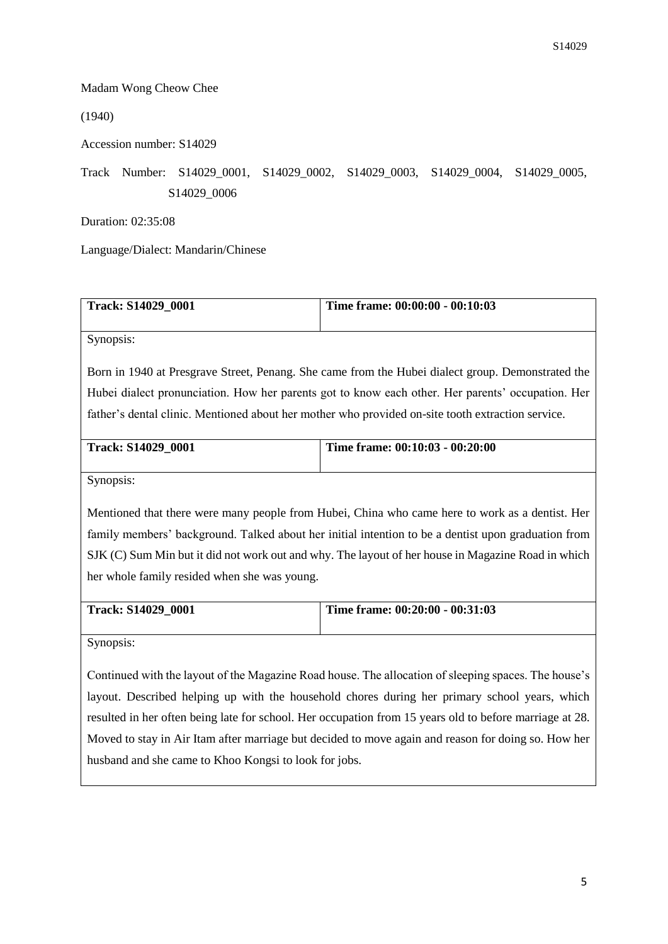## Madam Wong Cheow Chee

(1940)

Accession number: S14029

Track Number: S14029\_0001, S14029\_0002, S14029\_0003, S14029\_0004, S14029\_0005, S14029\_0006

Duration: 02:35:08

Language/Dialect: Mandarin/Chinese

| <b>Track: S14029 0001</b> | Time frame: $00:00:00 - 00:10:03$ |
|---------------------------|-----------------------------------|
|                           |                                   |

Synopsis:

Born in 1940 at Presgrave Street, Penang. She came from the Hubei dialect group. Demonstrated the Hubei dialect pronunciation. How her parents got to know each other. Her parents' occupation. Her father's dental clinic. Mentioned about her mother who provided on-site tooth extraction service.

| <b>Track: S14029 0001</b> | Time frame: 00:10:03 - 00:20:00 |
|---------------------------|---------------------------------|
|                           |                                 |

Synopsis:

Mentioned that there were many people from Hubei, China who came here to work as a dentist. Her family members' background. Talked about her initial intention to be a dentist upon graduation from SJK (C) Sum Min but it did not work out and why. The layout of her house in Magazine Road in which her whole family resided when she was young.

| <b>Track: S14029 0001</b> | Time frame: $00:20:00 - 00:31:03$ |
|---------------------------|-----------------------------------|
|                           |                                   |

Synopsis:

Continued with the layout of the Magazine Road house. The allocation of sleeping spaces. The house's layout. Described helping up with the household chores during her primary school years, which resulted in her often being late for school. Her occupation from 15 years old to before marriage at 28. Moved to stay in Air Itam after marriage but decided to move again and reason for doing so. How her husband and she came to Khoo Kongsi to look for jobs.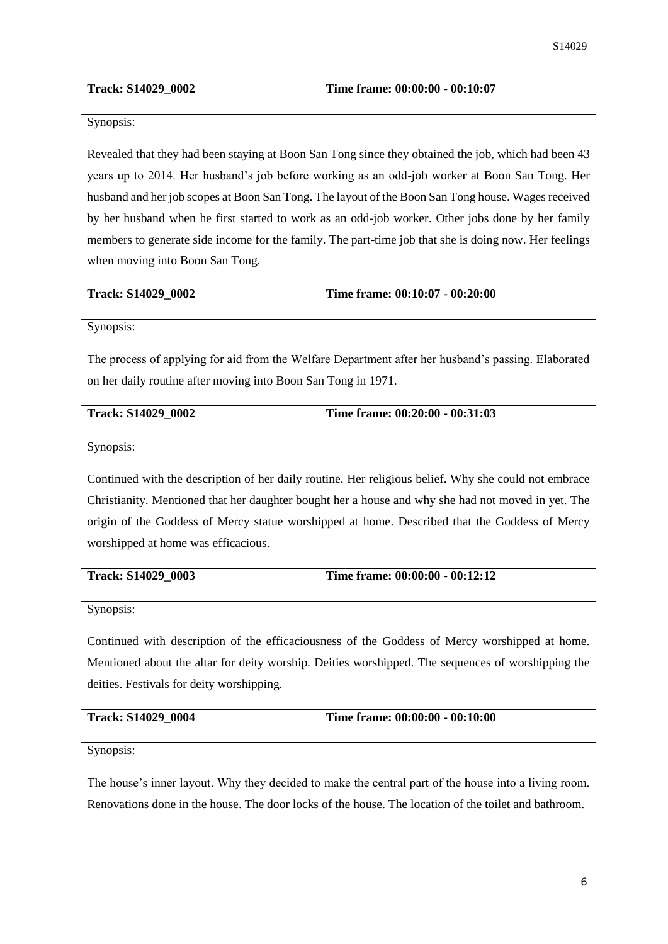| Track: S14029 0002 | Time frame: 00:00:00 - 00:10:07 |
|--------------------|---------------------------------|
|                    |                                 |

Synopsis:

Revealed that they had been staying at Boon San Tong since they obtained the job, which had been 43 years up to 2014. Her husband's job before working as an odd-job worker at Boon San Tong. Her husband and her job scopes at Boon San Tong. The layout of the Boon San Tong house. Wages received by her husband when he first started to work as an odd-job worker. Other jobs done by her family members to generate side income for the family. The part-time job that she is doing now. Her feelings when moving into Boon San Tong.

| <b>Track: S14029 0002</b> | Time frame: $00:10:07 - 00:20:00$ |
|---------------------------|-----------------------------------|
|                           |                                   |

Synopsis:

The process of applying for aid from the Welfare Department after her husband's passing. Elaborated on her daily routine after moving into Boon San Tong in 1971.

| <b>Track: S14029 0002</b> | Time frame: 00:20:00 - 00:31:03 |
|---------------------------|---------------------------------|
|                           |                                 |
|                           |                                 |

Synopsis:

Continued with the description of her daily routine. Her religious belief. Why she could not embrace Christianity. Mentioned that her daughter bought her a house and why she had not moved in yet. The origin of the Goddess of Mercy statue worshipped at home. Described that the Goddess of Mercy worshipped at home was efficacious.

| <b>Track: S14029 0003</b> | Time frame: 00:00:00 - 00:12:12 |
|---------------------------|---------------------------------|
|                           |                                 |

Synopsis:

Continued with description of the efficaciousness of the Goddess of Mercy worshipped at home. Mentioned about the altar for deity worship. Deities worshipped. The sequences of worshipping the deities. Festivals for deity worshipping.

| <b>Track: S14029 0004</b> | Time frame: $00:00:00 - 00:10:00$ |
|---------------------------|-----------------------------------|
|                           |                                   |

Synopsis:

The house's inner layout. Why they decided to make the central part of the house into a living room. Renovations done in the house. The door locks of the house. The location of the toilet and bathroom.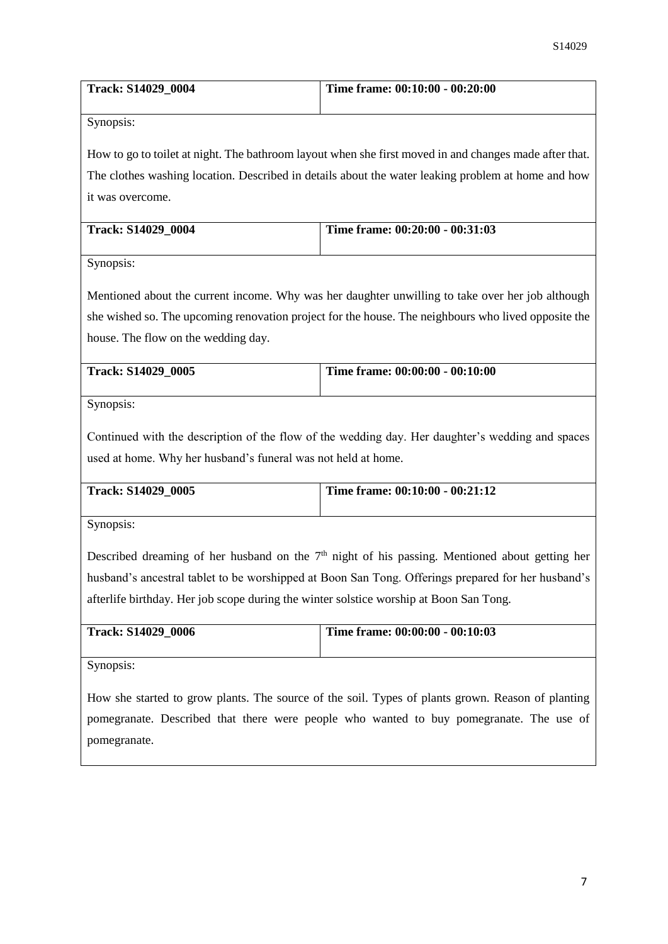| <b>Track: S14029 0004</b> | Time frame: $00:10:00 - 00:20:00$ |
|---------------------------|-----------------------------------|
|                           |                                   |

Synopsis:

How to go to toilet at night. The bathroom layout when she first moved in and changes made after that. The clothes washing location. Described in details about the water leaking problem at home and how it was overcome.

| <b>Track: S14029 0004</b> | Time frame: 00:20:00 - 00:31:03 |
|---------------------------|---------------------------------|
|                           |                                 |

Synopsis:

Mentioned about the current income. Why was her daughter unwilling to take over her job although she wished so. The upcoming renovation project for the house. The neighbours who lived opposite the house. The flow on the wedding day.

| Track: S14029 0005 | Time frame: 00:00:00 - 00:10:00 |
|--------------------|---------------------------------|
|                    |                                 |

Synopsis:

Continued with the description of the flow of the wedding day. Her daughter's wedding and spaces used at home. Why her husband's funeral was not held at home.

| <b>Track: S14029 0005</b> | Time frame: $00:10:00 - 00:21:12$ |
|---------------------------|-----------------------------------|
|                           |                                   |

Synopsis:

Described dreaming of her husband on the 7<sup>th</sup> night of his passing. Mentioned about getting her husband's ancestral tablet to be worshipped at Boon San Tong. Offerings prepared for her husband's afterlife birthday. Her job scope during the winter solstice worship at Boon San Tong.

| <b>Track: S14029 0006</b> | Time frame: $00:00:00 - 00:10:03$ |
|---------------------------|-----------------------------------|
|                           |                                   |

Synopsis:

How she started to grow plants. The source of the soil. Types of plants grown. Reason of planting pomegranate. Described that there were people who wanted to buy pomegranate. The use of pomegranate.